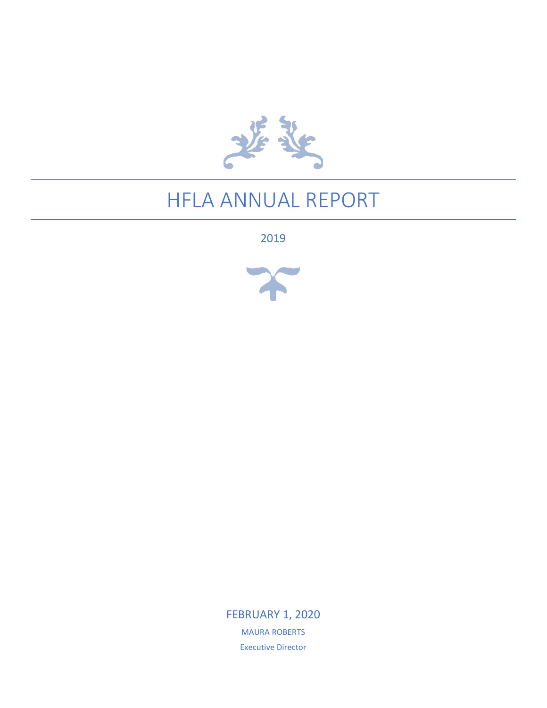

## HFLA ANNUAL REPORT

2019



FEBRUARY 1, 2020 MAURA ROBERTS Executive Director